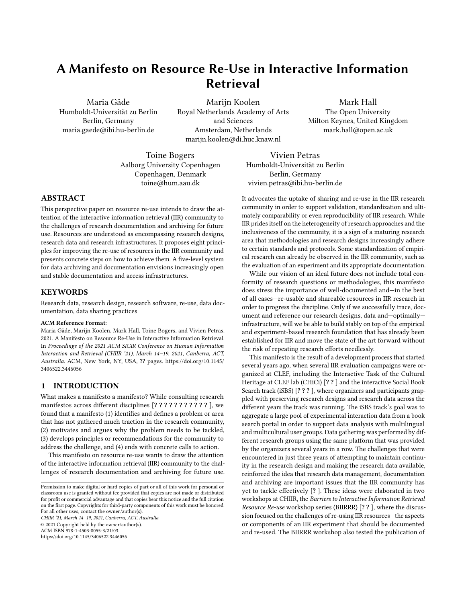# A Manifesto on Resource Re-Use in Interactive Information Retrieval

Maria Gäde Humboldt-Universität zu Berlin Berlin, Germany maria.gaede@ibi.hu-berlin.de

Marijn Koolen Royal Netherlands Academy of Arts and Sciences Amsterdam, Netherlands marijn.koolen@di.huc.knaw.nl

Mark Hall The Open University Milton Keynes, United Kingdom mark.hall@open.ac.uk

Toine Bogers Aalborg University Copenhagen Copenhagen, Denmark toine@hum.aau.dk

Vivien Petras Humboldt-Universität zu Berlin Berlin, Germany vivien.petras@ibi.hu-berlin.de

# ABSTRACT

This perspective paper on resource re-use intends to draw the attention of the interactive information retrieval (IIR) community to the challenges of research documentation and archiving for future use. Resources are understood as encompassing research designs, research data and research infrastructures. It proposes eight principles for improving the re-use of resources in the IIR community and presents concrete steps on how to achieve them. A five-level system for data archiving and documentation envisions increasingly open and stable documentation and access infrastructures.

## **KEYWORDS**

Research data, research design, research software, re-use, data documentation, data sharing practices

#### ACM Reference Format:

Maria Gäde, Marijn Koolen, Mark Hall, Toine Bogers, and Vivien Petras. 2021. A Manifesto on Resource Re-Use in Interactive Information Retrieval. In Proceedings of the 2021 ACM SIGIR Conference on Human Information Interaction and Retrieval (CHIIR '21), March 14–19, 2021, Canberra, ACT, Australia. ACM, New York, NY, USA, ?? pages. [https://doi.org/10.1145/](https://doi.org/10.1145/3406522.3446056) [3406522.3446056](https://doi.org/10.1145/3406522.3446056)

### 1 INTRODUCTION

What makes a manifesto a manifesto? While consulting research manifestos across different disciplines [? ? ? ? ? ? ? ? ? ? ? ], we found that a manifesto (1) identifies and defines a problem or area that has not gathered much traction in the research community, (2) motivates and argues why the problem needs to be tackled, (3) develops principles or recommendations for the community to address the challenge, and (4) ends with concrete calls to action.

This manifesto on resource re-use wants to draw the attention of the interactive information retrieval (IIR) community to the challenges of research documentation and archiving for future use.

CHIIR '21, March 14–19, 2021, Canberra, ACT, Australia © 2021 Copyright held by the owner/author(s). ACM ISBN 978-1-4503-8055-3/21/03.

<https://doi.org/10.1145/3406522.3446056>

the evaluation of an experiment and its appropriate documentation. While our vision of an ideal future does not include total conformity of research questions or methodologies, this manifesto does stress the importance of well-documented and—in the best of all cases—re-usable and shareable resources in IIR research in order to progress the discipline. Only if we successfully trace, document and reference our research designs, data and—optimally infrastructure, will we be able to build stably on top of the empirical and experiment-based research foundation that has already been established for IIR and move the state of the art forward without the risk of repeating research efforts needlessly.

It advocates the uptake of sharing and re-use in the IIR research community in order to support validation, standardization and ultimately comparability or even reproducibility of IIR research. While IIR prides itself on the heterogeneity of research approaches and the inclusiveness of the community, it is a sign of a maturing research area that methodologies and research designs increasingly adhere to certain standards and protocols. Some standardization of empirical research can already be observed in the IIR community, such as

This manifesto is the result of a development process that started several years ago, when several IIR evaluation campaigns were organized at CLEF, including the Interactive Task of the Cultural Heritage at CLEF lab (CHiCi) [? ? ] and the interactive Social Book Search track (iSBS) [? ? ? ], where organizers and participants grappled with preserving research designs and research data across the different years the track was running. The iSBS track's goal was to aggregate a large pool of experimental interaction data from a book search portal in order to support data analysis with multilingual and multicultural user groups. Data gathering was performed by different research groups using the same platform that was provided by the organizers several years in a row. The challenges that were encountered in just three years of attempting to maintain continuity in the research design and making the research data available, reinforced the idea that research data management, documentation and archiving are important issues that the IIR community has yet to tackle effectively [? ]. These ideas were elaborated in two workshops at CHIIR, the Barriers to Interactive Information Retrieval Resource Re-use workshop series (BIIRRR) [? ? ], where the discussion focused on the challenges of re-using IIR resources—the aspects or components of an IIR experiment that should be documented and re-used. The BIIRRR workshop also tested the publication of

Permission to make digital or hard copies of part or all of this work for personal or classroom use is granted without fee provided that copies are not made or distributed for profit or commercial advantage and that copies bear this notice and the full citation on the first page. Copyrights for third-party components of this work must be honored. For all other uses, contact the owner/author(s).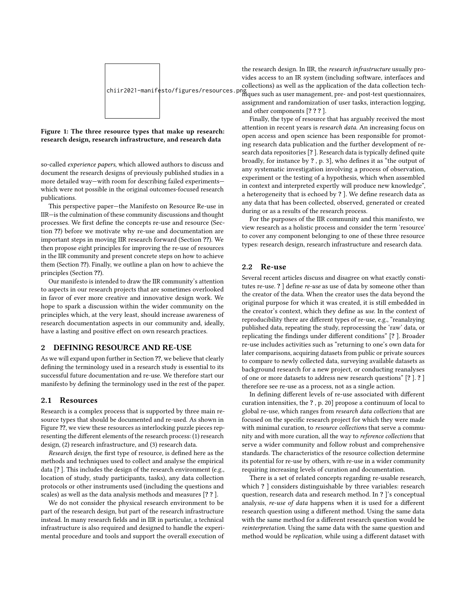

#### Figure 1: The three resource types that make up research: research design, research infrastructure, and research data

so-called experience papers, which allowed authors to discuss and document the research designs of previously published studies in a more detailed way—with room for describing failed experiments which were not possible in the original outcomes-focused research publications.

This perspective paper—the Manifesto on Resource Re-use in IIR—is the culmination of these community discussions and thought processes. We first define the concepts re-use and resource (Section ??) before we motivate why re-use and documentation are important steps in moving IIR research forward (Section ??). We then propose eight principles for improving the re-use of resources in the IIR community and present concrete steps on how to achieve them (Section ??). Finally, we outline a plan on how to achieve the principles (Section ??).

Our manifesto is intended to draw the IIR community's attention to aspects in our research projects that are sometimes overlooked in favor of ever more creative and innovative design work. We hope to spark a discussion within the wider community on the principles which, at the very least, should increase awareness of research documentation aspects in our community and, ideally, have a lasting and positive effect on own research practices.

## 2 DEFINING RESOURCE AND RE-USE

As we will expand upon further in Section ??, we believe that clearly defining the terminology used in a research study is essential to its successful future documentation and re-use. We therefore start our manifesto by defining the terminology used in the rest of the paper.

#### 2.1 Resources

Research is a complex process that is supported by three main resource types that should be documented and re-used. As shown in Figure ??, we view these resources as interlocking puzzle pieces representing the different elements of the research process: (1) research design, (2) research infrastructure, and (3) research data.

Research design, the first type of resource, is defined here as the methods and techniques used to collect and analyse the empirical data [? ]. This includes the design of the research environment (e.g., location of study, study participants, tasks), any data collection protocols or other instruments used (including the questions and scales) as well as the data analysis methods and measures [? ? ].

We do not consider the physical research environment to be part of the research design, but part of the research infrastructure instead. In many research fields and in IIR in particular, a technical infrastructure is also required and designed to handle the experimental procedure and tools and support the overall execution of

chiir2021-manifesto/figures/resources.png niques such as user management, pre- and post-test questionnaires, the research design. In IIR, the research infrastructure usually provides access to an IR system (including software, interfaces and collections) as well as the application of the data collection techassignment and randomization of user tasks, interaction logging, and other components [? ? ? ].

> Finally, the type of resource that has arguably received the most attention in recent years is research data. An increasing focus on open access and open science has been responsible for promoting research data publication and the further development of research data repositories [? ]. Research data is typically defined quite broadly, for instance by ? , p. 3], who defines it as "the output of any systematic investigation involving a process of observation, experiment or the testing of a hypothesis, which when assembled in context and interpreted expertly will produce new knowledge", a heterogeneity that is echoed by ? ]. We define research data as any data that has been collected, observed, generated or created during or as a results of the research process.

> For the purposes of the IIR community and this manifesto, we view research as a holistic process and consider the term 'resource' to cover any component belonging to one of these three resource types: research design, research infrastructure and research data.

#### 2.2 Re-use

Several recent articles discuss and disagree on what exactly constitutes re-use. ? ] define re-use as use of data by someone other than the creator of the data. When the creator uses the data beyond the original purpose for which it was created, it is still embedded in the creator's context, which they define as use. In the context of reproducibility there are different types of re-use, e.g., "reanalzying published data, repeating the study, reprocessing the 'raw' data, or replicating the findings under different conditions" [? ]. Broader re-use includes activities such as "returning to one's own data for later comparisons, acquiring datasets from public or private sources to compare to newly collected data, surveying available datasets as background research for a new project, or conducting reanalyses of one or more datasets to address new research questions" [? ]. ? ] therefore see re-use as a process, not as a single action.

In defining different levels of re-use associated with different curation intensities, the ? , p. 20] propose a continuum of local to global re-use, which ranges from research data collections that are focused on the specific research project for which they were made with minimal curation, to resource collections that serve a community and with more curation, all the way to reference collections that serve a wider community and follow robust and comprehensive standards. The characteristics of the resource collection determine its potential for re-use by others, with re-use in a wider community requiring increasing levels of curation and documentation.

There is a set of related concepts regarding re-usable research, which ? ] considers distinguishable by three variables: research question, research data and research method. In ? ]'s conceptual analysis, re-use of data happens when it is used for a different research question using a different method. Using the same data with the same method for a different research question would be reinterpretation. Using the same data with the same question and method would be replication, while using a different dataset with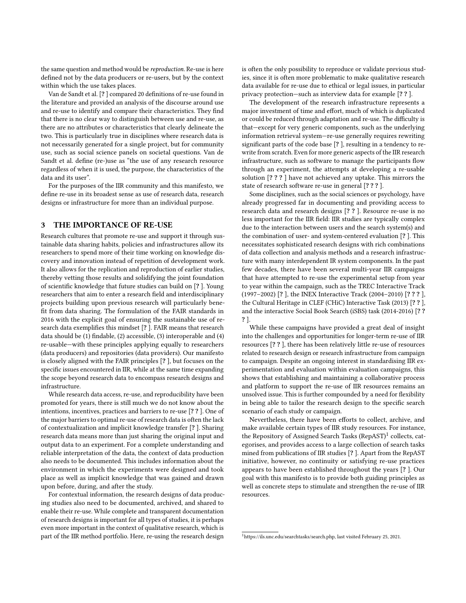the same question and method would be reproduction. Re-use is here defined not by the data producers or re-users, but by the context within which the use takes places.

Van de Sandt et al. [? ] compared 20 definitions of re-use found in the literature and provided an analysis of the discourse around use and re-use to identify and compare their characteristics. They find that there is no clear way to distinguish between use and re-use, as there are no attributes or characteristics that clearly delineate the two. This is particularly true in disciplines where research data is not necessarily generated for a single project, but for community use, such as social science panels on societal questions. Van de Sandt et al. define (re-)use as "the use of any research resource regardless of when it is used, the purpose, the characteristics of the data and its user".

For the purposes of the IIR community and this manifesto, we define re-use in its broadest sense as use of research data, research designs or infrastructure for more than an individual purpose.

## 3 THE IMPORTANCE OF RE-USE

Research cultures that promote re-use and support it through sustainable data sharing habits, policies and infrastructures allow its researchers to spend more of their time working on knowledge discovery and innovation instead of repetition of development work. It also allows for the replication and reproduction of earlier studies, thereby vetting those results and solidifying the joint foundation of scientific knowledge that future studies can build on [? ]. Young researchers that aim to enter a research field and interdisciplinary projects building upon previous research will particularly benefit from data sharing. The formulation of the FAIR standards in 2016 with the explicit goal of ensuring the sustainable use of research data exemplifies this mindset [? ]. FAIR means that research data should be (1) findable, (2) accessible, (3) interoperable and (4) re-usable—with these principles applying equally to researchers (data producers) and repositories (data providers). Our manifesto is closely aligned with the FAIR principles [? ], but focuses on the specific issues encountered in IIR, while at the same time expanding the scope beyond research data to encompass research designs and infrastructure.

While research data access, re-use, and reproducibility have been promoted for years, there is still much we do not know about the intentions, incentives, practices and barriers to re-use [? ? ]. One of the major barriers to optimal re-use of research data is often the lack of contextualization and implicit knowledge transfer [? ]. Sharing research data means more than just sharing the original input and output data to an experiment. For a complete understanding and reliable interpretation of the data, the context of data production also needs to be documented. This includes information about the environment in which the experiments were designed and took place as well as implicit knowledge that was gained and drawn upon before, during, and after the study.

For contextual information, the research designs of data producing studies also need to be documented, archived, and shared to enable their re-use. While complete and transparent documentation of research designs is important for all types of studies, it is perhaps even more important in the context of qualitative research, which is part of the IIR method portfolio. Here, re-using the research design

is often the only possibility to reproduce or validate previous studies, since it is often more problematic to make qualitative research data available for re-use due to ethical or legal issues, in particular privacy protection—such as interview data for example [? ? ].

The development of the research infrastructure represents a major investment of time and effort, much of which is duplicated or could be reduced through adaptation and re-use. The difficulty is that—except for very generic components, such as the underlying information retrieval system—re-use generally requires rewriting significant parts of the code base [? ], resulting in a tendency to rewrite from scratch. Even for more generic aspects of the IIR research infrastructure, such as software to manage the participants flow through an experiment, the attempts at developing a re-usable solution [? ? ? ] have not achieved any uptake. This mirrors the state of research software re-use in general [? ? ? ].

Some disciplines, such as the social sciences or psychology, have already progressed far in documenting and providing access to research data and research designs [? ? ]. Resource re-use is no less important for the IIR field: IIR studies are typically complex due to the interaction between users and the search system(s) and the combination of user- and system-centered evaluation [? ]. This necessitates sophisticated research designs with rich combinations of data collection and analysis methods and a research infrastructure with many interdependent IR system components. In the past few decades, there have been several multi-year IIR campaigns that have attempted to re-use the experimental setup from year to year within the campaign, such as the TREC Interactive Track (1997–2002) [? ], the INEX Interactive Track (2004–2010) [? ? ? ], the Cultural Heritage in CLEF (CHiC) Interactive Task (2013) [? ? ], and the interactive Social Book Search (iSBS) task (2014-2016) [? ? ? ].

While these campaigns have provided a great deal of insight into the challenges and opportunities for longer-term re-use of IIR resources [? ? ], there has been relatively little re-use of resources related to research design or research infrastructure from campaign to campaign. Despite an ongoing interest in standardising IIR experimentation and evaluation within evaluation campaigns, this shows that establishing and maintaining a collaborative process and platform to support the re-use of IIR resources remains an unsolved issue. This is further compounded by a need for flexibility in being able to tailor the research design to the specific search scenario of each study or campaign.

Nevertheless, there have been efforts to collect, archive, and make available certain types of IIR study resources. For instance, the Repository of Assigned Search Tasks  $(\mathsf{RepAST})^1$  $(\mathsf{RepAST})^1$  collects, categorises, and provides access to a large collection of search tasks mined from publications of IIR studies [? ]. Apart from the RepAST initiative, however, no continuity or satisfying re-use practices appears to have been established throughout the years [? ]. Our goal with this manifesto is to provide both guiding principles as well as concrete steps to stimulate and strengthen the re-use of IIR resources.

<span id="page-2-0"></span><sup>1</sup>[https://ils.unc.edu/searchtasks/search.php,](https://ils.unc.edu/searchtasks/search.php) last visited February 25, 2021.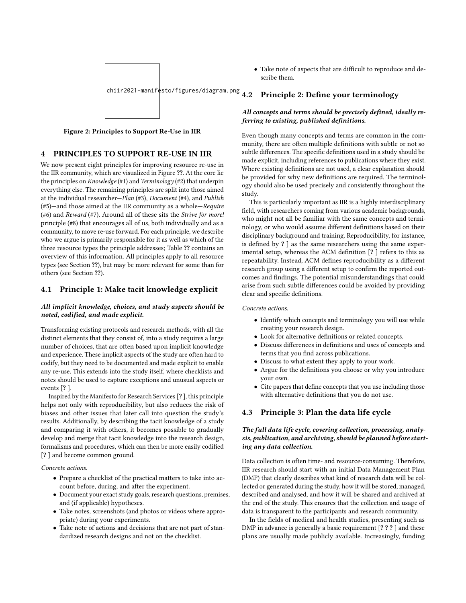



## 4 PRINCIPLES TO SUPPORT RE-USE IN IIR

We now present eight principles for improving resource re-use in the IIR community, which are visualized in Figure ??. At the core lie the principles on Knowledge (#1) and Terminology (#2) that underpin everything else. The remaining principles are split into those aimed at the individual researcher—Plan (#3), Document (#4), and Publish (#5)—and those aimed at the IIR community as a whole—Require (#6) and Reward (#7). Around all of these sits the Strive for more! principle (#8) that encourages all of us, both individually and as a community, to move re-use forward. For each principle, we describe who we argue is primarily responsible for it as well as which of the three resource types the principle addresses; Table ?? contains an overview of this information. All principles apply to all resource types (see Section ??), but may be more relevant for some than for others (see Section ??).

#### 4.1 Principle 1: Make tacit knowledge explicit

#### All implicit knowledge, choices, and study aspects should be noted, codified, and made explicit.

Transforming existing protocols and research methods, with all the distinct elements that they consist of, into a study requires a large number of choices, that are often based upon implicit knowledge and experience. These implicit aspects of the study are often hard to codify, but they need to be documented and made explicit to enable any re-use. This extends into the study itself, where checklists and notes should be used to capture exceptions and unusual aspects or events [? ].

Inspired by the Manifesto for Research Services [? ], this principle helps not only with reproducibility, but also reduces the risk of biases and other issues that later call into question the study's results. Additionally, by describing the tacit knowledge of a study and comparing it with others, it becomes possible to gradually develop and merge that tacit knowledge into the research design, formalisms and procedures, which can then be more easily codified [? ] and become common ground.

#### Concrete actions.

- Prepare a checklist of the practical matters to take into account before, during, and after the experiment.
- Document your exact study goals, research questions, premises, and (if applicable) hypotheses.
- Take notes, screenshots (and photos or videos where appropriate) during your experiments.
- Take note of actions and decisions that are not part of standardized research designs and not on the checklist.

• Take note of aspects that are difficult to reproduce and describe them.

# 4.2 Principle 2: Define your terminology

## All concepts and terms should be precisely defined, ideally referring to existing, published definitions.

Even though many concepts and terms are common in the community, there are often multiple definitions with subtle or not so subtle differences. The specific definitions used in a study should be made explicit, including references to publications where they exist. Where existing definitions are not used, a clear explanation should be provided for why new definitions are required. The terminology should also be used precisely and consistently throughout the study.

This is particularly important as IIR is a highly interdisciplinary field, with researchers coming from various academic backgrounds, who might not all be familiar with the same concepts and terminology, or who would assume different definitions based on their disciplinary background and training. Reproducibility, for instance, is defined by ? ] as the same researchers using the same experimental setup, whereas the ACM definition [? ] refers to this as repeatability. Instead, ACM defines reproducibility as a different research group using a different setup to confirm the reported outcomes and findings. The potential misunderstandings that could arise from such subtle differences could be avoided by providing clear and specific definitions.

#### Concrete actions.

- Identify which concepts and terminology you will use while creating your research design.
- Look for alternative definitions or related concepts.
- Discuss differences in definitions and uses of concepts and terms that you find across publications.
- Discuss to what extent they apply to your work.
- Argue for the definitions you choose or why you introduce your own.
- Cite papers that define concepts that you use including those with alternative definitions that you do not use.

#### 4.3 Principle 3: Plan the data life cycle

## The full data life cycle, covering collection, processing, analysis, publication, and archiving, should be planned before starting any data collection.

Data collection is often time- and resource-consuming. Therefore, IIR research should start with an initial Data Management Plan (DMP) that clearly describes what kind of research data will be collected or generated during the study, how it will be stored, managed, described and analysed, and how it will be shared and archived at the end of the study. This ensures that the collection and usage of data is transparent to the participants and research community.

In the fields of medical and health studies, presenting such as DMP in advance is generally a basic requirement [? ? ? ] and these plans are usually made publicly available. Increasingly, funding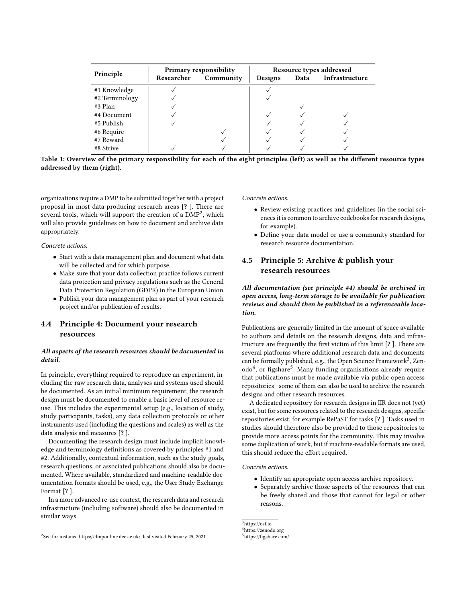| Principle      | <b>Primary responsibility</b> |           | Resource types addressed |      |                |
|----------------|-------------------------------|-----------|--------------------------|------|----------------|
|                | Researcher                    | Community | Designs                  | Data | Infrastructure |
| #1 Knowledge   |                               |           |                          |      |                |
| #2 Terminology |                               |           |                          |      |                |
| #3 Plan        |                               |           |                          |      |                |
| #4 Document    |                               |           |                          |      |                |
| #5 Publish     |                               |           |                          |      |                |
| #6 Require     |                               |           |                          |      |                |
| #7 Reward      |                               |           |                          |      |                |
| #8 Strive      |                               |           |                          |      |                |

Table 1: Overview of the primary responsibility for each of the eight principles (left) as well as the different resource types addressed by them (right).

organizations require a DMP to be submitted together with a project proposal in most data-producing research areas [? ]. There are several tools, which will support the creation of a  $\mathrm{DMP}^2$  $\mathrm{DMP}^2$ , which will also provide guidelines on how to document and archive data appropriately.

Concrete actions.

- Start with a data management plan and document what data will be collected and for which purpose.
- Make sure that your data collection practice follows current data protection and privacy regulations such as the General Data Protection Regulation (GDPR) in the European Union.
- Publish your data management plan as part of your research project and/or publication of results.

# 4.4 Principle 4: Document your research resources

#### All aspects of the research resources should be documented in detail.

In principle, everything required to reproduce an experiment, including the raw research data, analyses and systems used should be documented. As an initial minimum requirement, the research design must be documented to enable a basic level of resource reuse. This includes the experimental setup (e.g., location of study, study participants, tasks), any data collection protocols or other instruments used (including the questions and scales) as well as the data analysis and measures [? ].

Documenting the research design must include implicit knowledge and terminology definitions as covered by principles #1 and #2. Additionally, contextual information, such as the study goals, research questions, or associated publications should also be documented. Where available, standardized and machine-readable documentation formats should be used, e.g., the User Study Exchange Format [? ].

In a more advanced re-use context, the research data and research infrastructure (including software) should also be documented in similar ways.

#### Concrete actions.

- Review existing practices and guidelines (in the social sciences it is common to archive codebooks for research designs, for example).
- Define your data model or use a community standard for research resource documentation.

# 4.5 Principle 5: Archive & publish your research resources

All documentation (see principle #4) should be archived in open access, long-term storage to be available for publication reviews and should then be published in a referenceable location.

Publications are generally limited in the amount of space available to authors and details on the research designs, data and infrastructure are frequently the first victim of this limit [? ]. There are several platforms where additional research data and documents can be formally published, e.g., the Open Science Framework<sup>[3](#page-4-1)</sup>, Zen-odo<sup>[4](#page-4-2)</sup>, or figshare<sup>[5](#page-4-3)</sup>. Many funding organisations already require that publications must be made available via public open access repositories—some of them can also be used to archive the research designs and other research resources.

A dedicated repository for research designs in IIR does not (yet) exist, but for some resources related to the research designs, specific repositories exist, for example RePaST for tasks [? ]. Tasks used in studies should therefore also be provided to those repositories to provide more access points for the community. This may involve some duplication of work, but if machine-readable formats are used, this should reduce the effort required.

Concrete actions.

- Identify an appropriate open access archive repository.
- Separately archive those aspects of the resources that can be freely shared and those that cannot for legal or other reasons.

<span id="page-4-0"></span> $2$ See for instance [https://dmponline.dcc.ac.uk/,](https://dmponline.dcc.ac.uk/) last visited February 25, 2021.

<span id="page-4-1"></span><sup>3</sup><https://osf.io>

<span id="page-4-2"></span><sup>4</sup><https://zenodo.org>

<span id="page-4-3"></span><sup>5</sup><https://figshare.com/>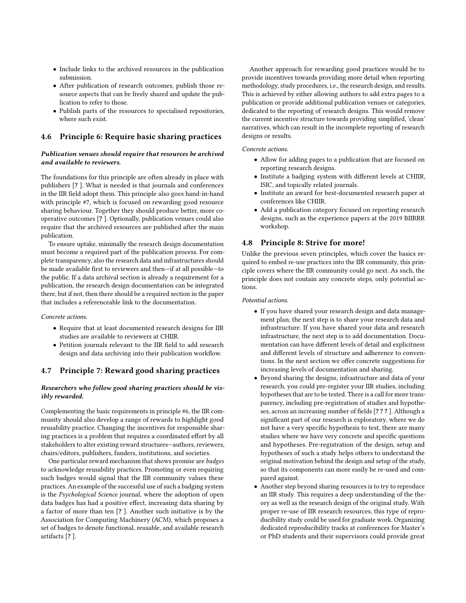- Include links to the archived resources in the publication submission.
- After publication of research outcomes, publish those resource aspects that can be freely shared and update the publication to refer to those.
- Publish parts of the resources to specialised repositories, where such exist.

### 4.6 Principle 6: Require basic sharing practices

#### Publication venues should require that resources be archived and available to reviewers.

The foundations for this principle are often already in place with publishers [? ]. What is needed is that journals and conferences in the IIR field adopt them. This principle also goes hand-in-hand with principle #7, which is focused on rewarding good resource sharing behaviour. Together they should produce better, more cooperative outcomes [? ]. Optionally, publication venues could also require that the archived resources are published after the main publication.

To ensure uptake, minimally the research design documentation must become a required part of the publication process. For complete transparency, also the research data and infrastructures should be made available first to reviewers and then—if at all possible—to the public. If a data archival section is already a requirement for a publication, the research design documentation can be integrated there, but if not, then there should be a required section in the paper that includes a referenceable link to the documentation.

Concrete actions.

- Require that at least documented research designs for IIR studies are available to reviewers at CHIIR.
- Petition journals relevant to the IIR field to add research design and data archiving into their publication workflow.

# 4.7 Principle 7: Reward good sharing practices

#### Researchers who follow good sharing practices should be visibly rewarded.

Complementing the basic requirements in principle #6, the IIR community should also develop a range of rewards to highlight good reusability practice. Changing the incentives for responsible sharing practices is a problem that requires a coordinated effort by all stakeholders to alter existing reward structures—authors, reviewers, chairs/editors, publishers, funders, institutions, and societies.

One particular reward mechanism that shows promise are badges to acknowledge reusability practices. Promoting or even requiring such badges would signal that the IIR community values these practices. An example of the successful use of such a badging system is the Psychological Science journal, where the adoption of open data badges has had a positive effect, increasing data sharing by a factor of more than ten [? ]. Another such initiative is by the Association for Computing Machinery (ACM), which proposes a set of badges to denote functional, reusable, and available research artifacts [? ].

Another approach for rewarding good practices would be to provide incentives towards providing more detail when reporting methodology, study procedures, i.e., the research design, and results. This is achieved by either allowing authors to add extra pages to a publication or provide additional publication venues or categories, dedicated to the reporting of research designs. This would remove the current incentive structure towards providing simplified, 'clean' narratives, which can result in the incomplete reporting of research designs or results.

#### Concrete actions.

- Allow for adding pages to a publication that are focused on reporting research designs.
- Institute a badging system with different levels at CHIIR, ISIC, and topically related journals.
- Institute an award for best-documented research paper at conferences like CHIIR.
- Add a publication category focused on reporting research designs, such as the experience papers at the 2019 BIIRRR workshop.

#### 4.8 Principle 8: Strive for more!

Unlike the previous seven principles, which cover the basics required to embed re-use practices into the IIR community, this principle covers where the IIR community could go next. As such, the principle does not contain any concrete steps, only potential actions.

#### Potential actions.

- If you have shared your research design and data management plan, the next step is to share your research data and infrastructure. If you have shared your data and research infrastructure, the next step is to add documentation. Documentation can have different levels of detail and explicitness and different levels of structure and adherence to conventions. In the next section we offer concrete suggestions for increasing levels of documentation and sharing.
- Beyond sharing the designs, infrastructure and data of your research, you could pre-register your IIR studies, including hypotheses that are to be tested. There is a call for more transparency, including pre-registration of studies and hypotheses, across an increasing number of fields [? ? ? ]. Although a significant part of our research is exploratory, where we do not have a very specific hypothesis to test, there are many studies where we have very concrete and specific questions and hypotheses. Pre-registration of the design, setup and hypotheses of such a study helps others to understand the original motivation behind the design and setup of the study, so that its components can more easily be re-used and compared against.
- Another step beyond sharing resources is to try to reproduce an IIR study. This requires a deep understanding of the theory as well as the research design of the original study. With proper re-use of IIR research resources, this type of reproducibility study could be used for graduate work. Organizing dedicated reproducibility tracks at conferences for Master's or PhD students and their supervisors could provide great